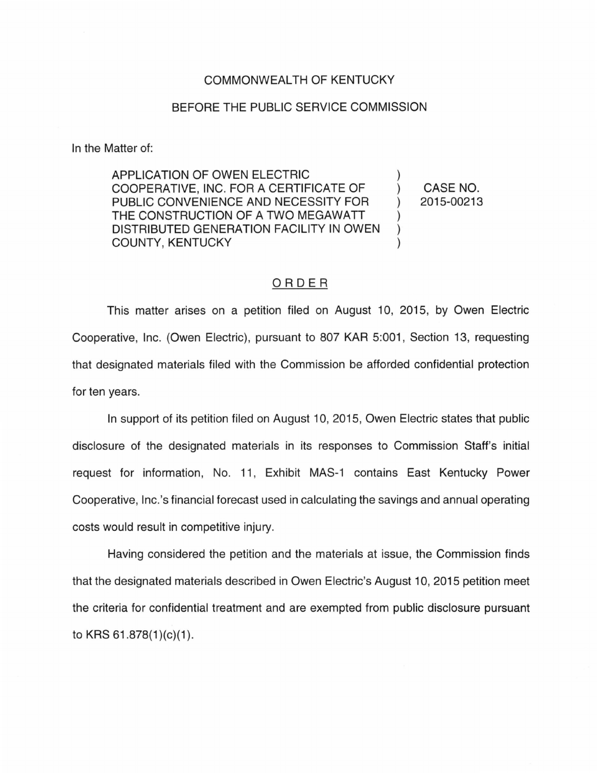## COMMONWEALTH OF KENTUCKY

## BEFORE THE PUBLIC SERVICE COMMISSION

In the Matter of:

APPLICATION OF OWEN ELECTRIC ) COOPERATIVE, INC. FOR A CERTIFICATE OF ) CASE NO. PUBLIC CONVENIENCE AND NECESSITY FOR ) 2015-00213 THE CONSTRUCTION OF A TWO MEGAWATT  $\qquad$ ) DISTRIBUTED GENERATION FACILITY IN OWEN ) COUNTY, KENTUCKY

## ORDER

This matter arises on a petition filed on August 10, 2015, by Owen Electric Cooperative, Inc. (Owen Electric), pursuant to 807 KAR 5:001 , Section 13, requesting that designated materials filed with the Commission be afforded confidential protection for ten years.

In support of its petition filed on August 10, 2015, Owen Electric states that public disclosure of the designated materials in its responses to Commission Staff's initial request for information, No. 11 , Exhibit MAS-1 contains East Kentucky Power Cooperative, lnc.'s financial forecast used in calculating the savings and annual operating costs would result in competitive injury.

Having considered the petition and the materials at issue, the Commission finds that the designated materials described in Owen Electric's August 10, 2015 petition meet the criteria for confidential treatment and are exempted from public disclosure pursuant to KRS  $61.878(1)(c)(1)$ .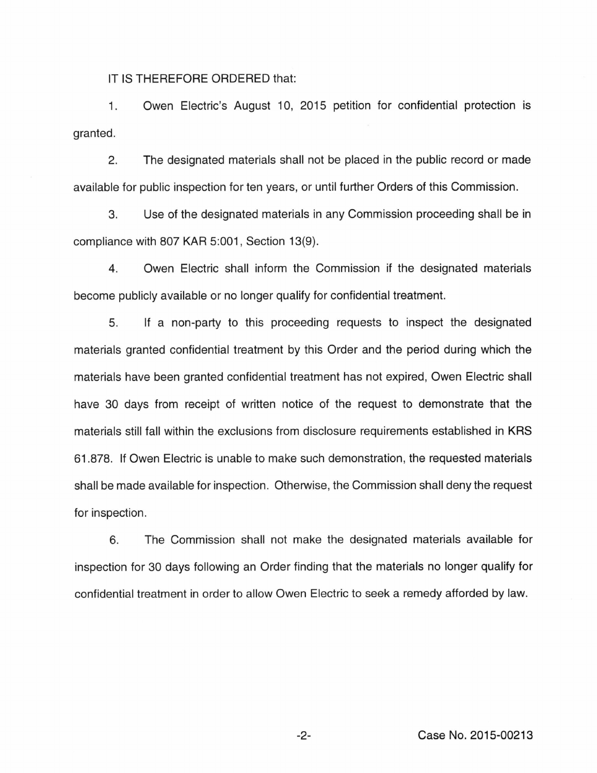IT IS THEREFORE ORDERED that:

1. granted. Owen Electric's August 10, 2015 petition for confidential protection is

2. The designated materials shall not be placed in the public record or made available for public inspection for ten years, or until further Orders of this Commission.

3. Use of the designated materials in any Commission proceeding shall be in compliance with 807 KAR 5:001 , Section 13(9).

4. Owen Electric shall inform the Commission if the designated materials become publicly available or no longer qualify for confidential treatment.

5. If a non-party to this proceeding requests to inspect the designated materials granted confidential treatment by this Order and the period during which the materials have been granted confidential treatment has not expired, Owen Electric shall have 30 days from receipt of written notice of the request to demonstrate that the materials still fall within the exclusions from disclosure requirements established in KRS 61.878. If Owen Electric is unable to make such demonstration, the requested materials shall be made available for inspection. Otherwise, the Commission shall deny the request for inspection.

6. The Commission shall not make the designated materials available for inspection for 30 days following an Order finding that the materials no longer qualify for confidential treatment in order to allow Owen Electric to seek a remedy afforded by law.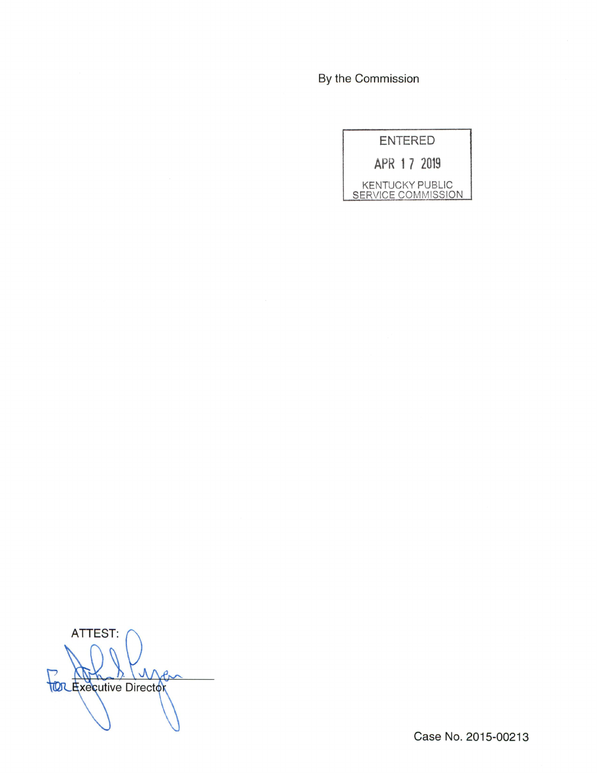By the Commission



ATTEST: V **TOC Executive Director** 

Case No. 2015-00213